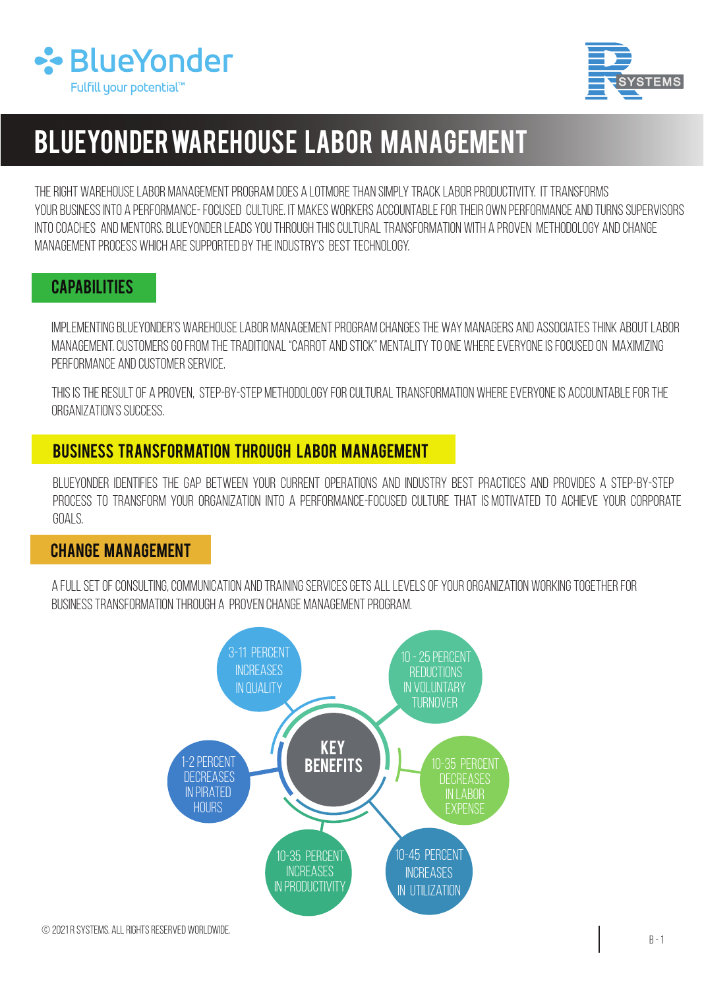



# BLUEYONDER Warehouse Labor Management

The right warehouse labor management program does a lotmore than simply track labor productivity. It transforms your business into a performance- focused culture. It makes workers accountable for their own performance and turns supervisors into coaches and mentors. blueyonder leads you through this cultural transformation with a proven methodology and change management process which are supported by the industry's best technology.

### **CAPABILITIES**

Implementing BLUEYONDER's warehouse labor management program changes the way managers and associates think about labor management. Customers go from the traditional "carrot and stick" mentality to one where everyone is focused on maximizing performance and customer service.

This is the result of a proven, step-by-step methodology for cultural transformation where everyone is accountable for the organization's success.

### Business Transformation Through Labor Management

BLUEYONDER identifies the gap between your current operations and industry best practices and provides a step-by-step process to transform your organization into a performance-focused culture that is motivated to achieve your corporate goals.

#### change management

A full set of consulting, communication and training services gets all levels of your organization working together for business transformation through a proven change management program.